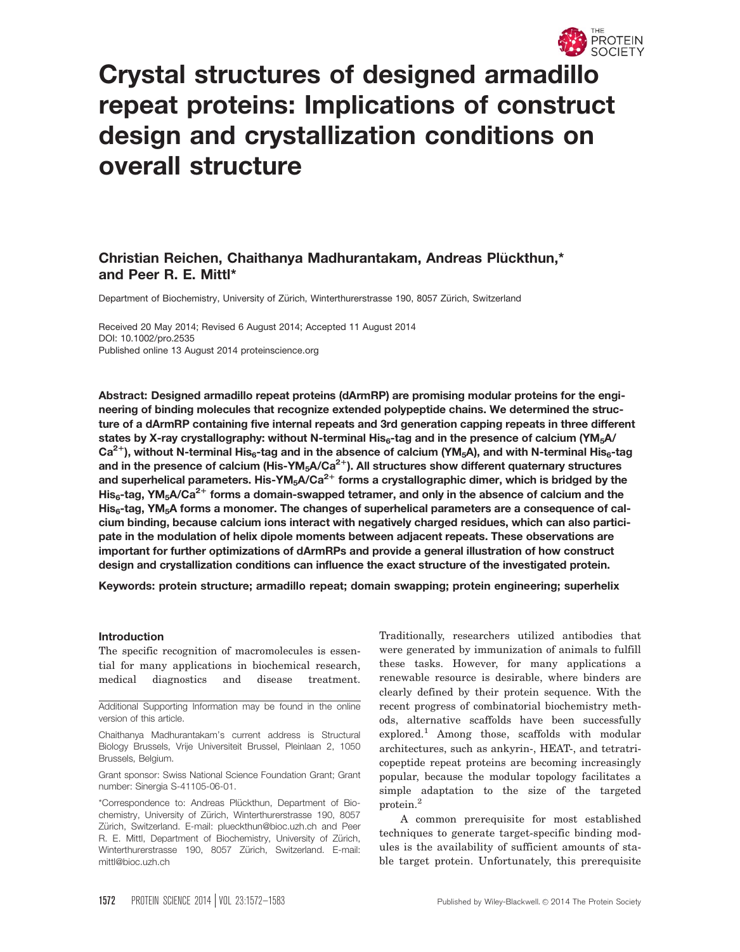

# Crystal structures of designed armadillo repeat proteins: Implications of construct design and crystallization conditions on overall structure

# Christian Reichen, Chaithanya Madhurantakam, Andreas Pluckthun,\* € and Peer R. E. Mittl\*

Department of Biochemistry, University of Zürich, Winterthurerstrasse 190, 8057 Zürich, Switzerland

Received 20 May 2014; Revised 6 August 2014; Accepted 11 August 2014 DOI: 10.1002/pro.2535 Published online 13 August 2014 proteinscience.org

Abstract: Designed armadillo repeat proteins (dArmRP) are promising modular proteins for the engineering of binding molecules that recognize extended polypeptide chains. We determined the structure of a dArmRP containing five internal repeats and 3rd generation capping repeats in three different states by X-ray crystallography: without N-terminal His<sub>6</sub>-tag and in the presence of calcium (YM<sub>5</sub>A/  $Ca^{2+}$ ), without N-terminal His<sub>6</sub>-tag and in the absence of calcium (YM<sub>5</sub>A), and with N-terminal His<sub>6</sub>-tag and in the presence of calcium (His-YM<sub>5</sub>A/Ca<sup>2+</sup>). All structures show different quaternary structures and superhelical parameters. His-YM<sub>5</sub>A/Ca<sup>2+</sup> forms a crystallographic dimer, which is bridged by the His<sub>6</sub>-tag, YM<sub>5</sub>A/Ca<sup>2+</sup> forms a domain-swapped tetramer, and only in the absence of calcium and the His<sub>6</sub>-tag, YM<sub>5</sub>A forms a monomer. The changes of superhelical parameters are a consequence of calcium binding, because calcium ions interact with negatively charged residues, which can also participate in the modulation of helix dipole moments between adjacent repeats. These observations are important for further optimizations of dArmRPs and provide a general illustration of how construct design and crystallization conditions can influence the exact structure of the investigated protein.

Keywords: protein structure; armadillo repeat; domain swapping; protein engineering; superhelix

#### Introduction

The specific recognition of macromolecules is essential for many applications in biochemical research, medical diagnostics and disease treatment.

Additional Supporting Information may be found in the online version of this article.

Chaithanya Madhurantakam's current address is Structural Biology Brussels, Vrije Universiteit Brussel, Pleinlaan 2, 1050 Brussels, Belgium.

Grant sponsor: Swiss National Science Foundation Grant; Grant number: Sinergia S-41105-06-01.

\*Correspondence to: Andreas Plückthun, Department of Biochemistry, University of Zürich, Winterthurerstrasse 190, 8057 Zürich, Switzerland. E-mail: plueckthun@bioc.uzh.ch and Peer R. E. Mittl, Department of Biochemistry, University of Zürich, Winterthurerstrasse 190, 8057 Zürich, Switzerland. E-mail: mittl@bioc.uzh.ch

Traditionally, researchers utilized antibodies that were generated by immunization of animals to fulfill these tasks. However, for many applications a renewable resource is desirable, where binders are clearly defined by their protein sequence. With the recent progress of combinatorial biochemistry methods, alternative scaffolds have been successfully explored.<sup>1</sup> Among those, scaffolds with modular architectures, such as ankyrin-, HEAT-, and tetratricopeptide repeat proteins are becoming increasingly popular, because the modular topology facilitates a simple adaptation to the size of the targeted protein.<sup>2</sup>

A common prerequisite for most established techniques to generate target-specific binding modules is the availability of sufficient amounts of stable target protein. Unfortunately, this prerequisite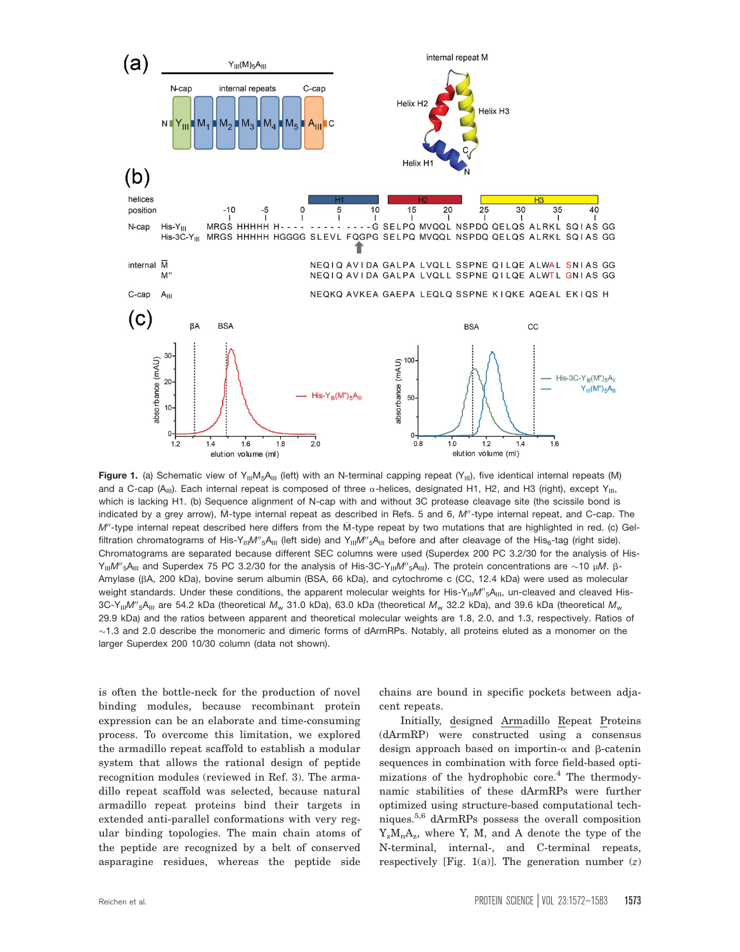

Figure 1. (a) Schematic view of Y<sub>III</sub>M<sub>5</sub>A<sub>III</sub> (left) with an N-terminal capping repeat (Y<sub>III</sub>), five identical internal repeats (M) and a C-cap (A<sub>III</sub>). Each internal repeat is composed of three  $\alpha$ -helices, designated H1, H2, and H3 (right), except Y<sub>III</sub>, which is lacking H1. (b) Sequence alignment of N-cap with and without 3C protease cleavage site (the scissile bond is indicated by a grey arrow), M-type internal repeat as described in Refs. 5 and 6, M"-type internal repeat, and C-cap. The  $M''$ -type internal repeat described here differs from the  $\bar{M}$ -type repeat by two mutations that are highlighted in red. (c) Gelfiltration chromatograms of His-Y<sub>III</sub>M"<sub>5</sub>A<sub>III</sub> (left side) and Y<sub>III</sub>M"<sub>5</sub>A<sub>III</sub> before and after cleavage of the His<sub>6</sub>-tag (right side). Chromatograms are separated because different SEC columns were used (Superdex 200 PC 3.2/30 for the analysis of His- $Y_{III}M''$ <sub>5</sub>A<sub>III</sub> and Superdex 75 PC 3.2/30 for the analysis of His-3C-Y<sub>III</sub>M"<sub>5</sub>A<sub>III</sub>). The protein concentrations are ~10 μM. β-Amylase (bA, 200 kDa), bovine serum albumin (BSA, 66 kDa), and cytochrome c (CC, 12.4 kDa) were used as molecular weight standards. Under these conditions, the apparent molecular weights for His-Y $_{\rm III}$ M"<sub>5</sub>A<sub>III</sub>, un-cleaved and cleaved His-3C-Y $_{\rm II}$ M $''$ <sub>5</sub>A $_{\rm III}$  are 54.2 kDa (theoretical  $M_{\rm w}$  31.0 kDa), 63.0 kDa (theoretical  $M_{\rm w}$  32.2 kDa), and 39.6 kDa (theoretical  $M_{\rm w}$ 29.9 kDa) and the ratios between apparent and theoretical molecular weights are 1.8, 2.0, and 1.3, respectively. Ratios of  $\sim$ 1.3 and 2.0 describe the monomeric and dimeric forms of dArmRPs. Notably, all proteins eluted as a monomer on the larger Superdex 200 10/30 column (data not shown).

is often the bottle-neck for the production of novel binding modules, because recombinant protein expression can be an elaborate and time-consuming process. To overcome this limitation, we explored the armadillo repeat scaffold to establish a modular system that allows the rational design of peptide recognition modules (reviewed in Ref. 3). The armadillo repeat scaffold was selected, because natural armadillo repeat proteins bind their targets in extended anti-parallel conformations with very regular binding topologies. The main chain atoms of the peptide are recognized by a belt of conserved asparagine residues, whereas the peptide side

chains are bound in specific pockets between adjacent repeats.

Initially, designed Armadillo Repeat Proteins (dArmRP) were constructed using a consensus design approach based on importin- $\alpha$  and  $\beta$ -catenin sequences in combination with force field-based optimizations of the hydrophobic core.<sup>4</sup> The thermodynamic stabilities of these dArmRPs were further optimized using structure-based computational techniques.5,6 dArmRPs possess the overall composition  $Y_zM_nA_z$ , where Y, M, and A denote the type of the N-terminal, internal-, and C-terminal repeats, respectively [Fig. 1(a)]. The generation number  $(z)$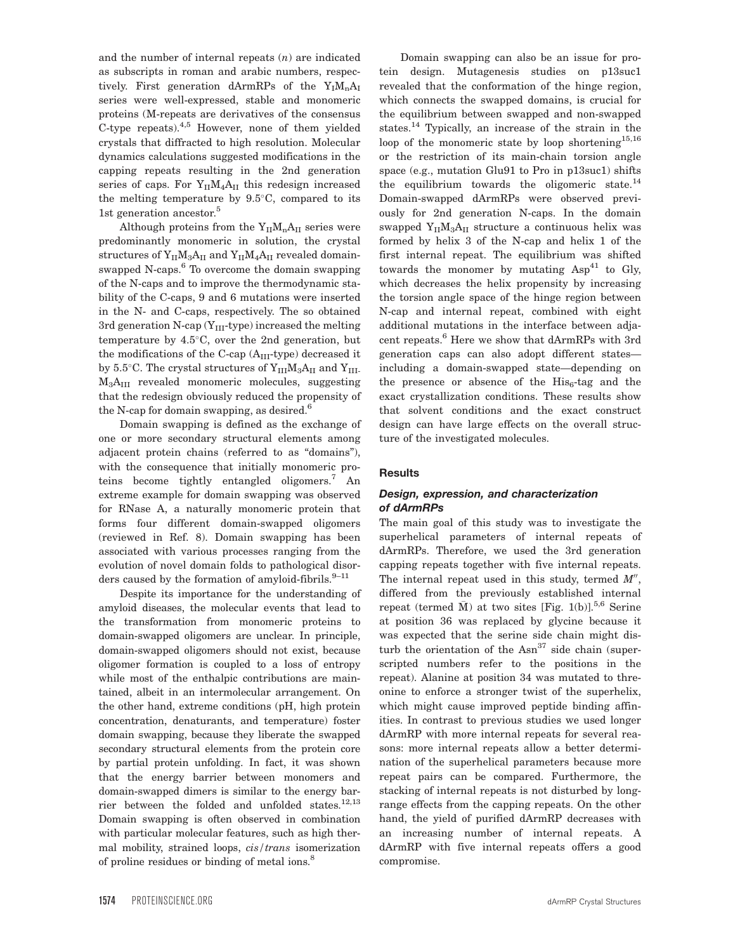and the number of internal repeats  $(n)$  are indicated as subscripts in roman and arabic numbers, respectively. First generation dArmRPs of the  $Y_I M_n A_I$ series were well-expressed, stable and monomeric proteins (M-repeats are derivatives of the consensus C-type repeats).4,5 However, none of them yielded crystals that diffracted to high resolution. Molecular dynamics calculations suggested modifications in the capping repeats resulting in the 2nd generation series of caps. For  $Y_{II}M_4A_{II}$  this redesign increased the melting temperature by  $9.5^{\circ}$ C, compared to its 1st generation ancestor.<sup>5</sup>

Although proteins from the  $Y_{II}M_{n}A_{II}$  series were predominantly monomeric in solution, the crystal structures of  $Y_{\rm II}M_3A_{\rm II}$  and  $Y_{\rm II}M_4A_{\rm II}$  revealed domainswapped N-caps. $6$  To overcome the domain swapping of the N-caps and to improve the thermodynamic stability of the C-caps, 9 and 6 mutations were inserted in the N- and C-caps, respectively. The so obtained 3rd generation N-cap  $(Y_{III}$ -type) increased the melting temperature by  $4.5^{\circ}$ C, over the 2nd generation, but the modifications of the C-cap  $(A<sub>III</sub>-type)$  decreased it by 5.5°C. The crystal structures of  $Y_{III}M_3A_{II}$  and  $Y_{III}$ . M3AIII revealed monomeric molecules, suggesting that the redesign obviously reduced the propensity of the N-cap for domain swapping, as desired.<sup>6</sup>

Domain swapping is defined as the exchange of one or more secondary structural elements among adjacent protein chains (referred to as "domains"), with the consequence that initially monomeric proteins become tightly entangled oligomers.<sup>7</sup> An extreme example for domain swapping was observed for RNase A, a naturally monomeric protein that forms four different domain-swapped oligomers (reviewed in Ref. 8). Domain swapping has been associated with various processes ranging from the evolution of novel domain folds to pathological disorders caused by the formation of amyloid-fibrils. $9-11$ 

Despite its importance for the understanding of amyloid diseases, the molecular events that lead to the transformation from monomeric proteins to domain-swapped oligomers are unclear. In principle, domain-swapped oligomers should not exist, because oligomer formation is coupled to a loss of entropy while most of the enthalpic contributions are maintained, albeit in an intermolecular arrangement. On the other hand, extreme conditions (pH, high protein concentration, denaturants, and temperature) foster domain swapping, because they liberate the swapped secondary structural elements from the protein core by partial protein unfolding. In fact, it was shown that the energy barrier between monomers and domain-swapped dimers is similar to the energy barrier between the folded and unfolded states.<sup>12,13</sup> Domain swapping is often observed in combination with particular molecular features, such as high thermal mobility, strained loops, cis/trans isomerization of proline residues or binding of metal ions.<sup>8</sup>

Domain swapping can also be an issue for protein design. Mutagenesis studies on p13suc1 revealed that the conformation of the hinge region, which connects the swapped domains, is crucial for the equilibrium between swapped and non-swapped states.<sup>14</sup> Typically, an increase of the strain in the loop of the monomeric state by loop shortening<sup>15,16</sup> or the restriction of its main-chain torsion angle space (e.g., mutation Glu91 to Pro in p13suc1) shifts the equilibrium towards the oligomeric state.<sup>14</sup> Domain-swapped dArmRPs were observed previously for 2nd generation N-caps. In the domain swapped  $Y_{II}M_3A_{II}$  structure a continuous helix was formed by helix 3 of the N-cap and helix 1 of the first internal repeat. The equilibrium was shifted towards the monomer by mutating  $Asp^{41}$  to Gly, which decreases the helix propensity by increasing the torsion angle space of the hinge region between N-cap and internal repeat, combined with eight additional mutations in the interface between adjacent repeats.6 Here we show that dArmRPs with 3rd generation caps can also adopt different states including a domain-swapped state—depending on the presence or absence of the  $His<sub>6</sub>$ -tag and the exact crystallization conditions. These results show that solvent conditions and the exact construct design can have large effects on the overall structure of the investigated molecules.

# **Results**

## Design, expression, and characterization of dArmRPs

The main goal of this study was to investigate the superhelical parameters of internal repeats of dArmRPs. Therefore, we used the 3rd generation capping repeats together with five internal repeats. The internal repeat used in this study, termed  $M''$ , differed from the previously established internal repeat (termed  $\bar{M}$ ) at two sites [Fig. 1(b)].<sup>5,6</sup> Serine at position 36 was replaced by glycine because it was expected that the serine side chain might disturb the orientation of the  $Asn^{37}$  side chain (superscripted numbers refer to the positions in the repeat). Alanine at position 34 was mutated to threonine to enforce a stronger twist of the superhelix, which might cause improved peptide binding affinities. In contrast to previous studies we used longer dArmRP with more internal repeats for several reasons: more internal repeats allow a better determination of the superhelical parameters because more repeat pairs can be compared. Furthermore, the stacking of internal repeats is not disturbed by longrange effects from the capping repeats. On the other hand, the yield of purified dArmRP decreases with an increasing number of internal repeats. A dArmRP with five internal repeats offers a good compromise.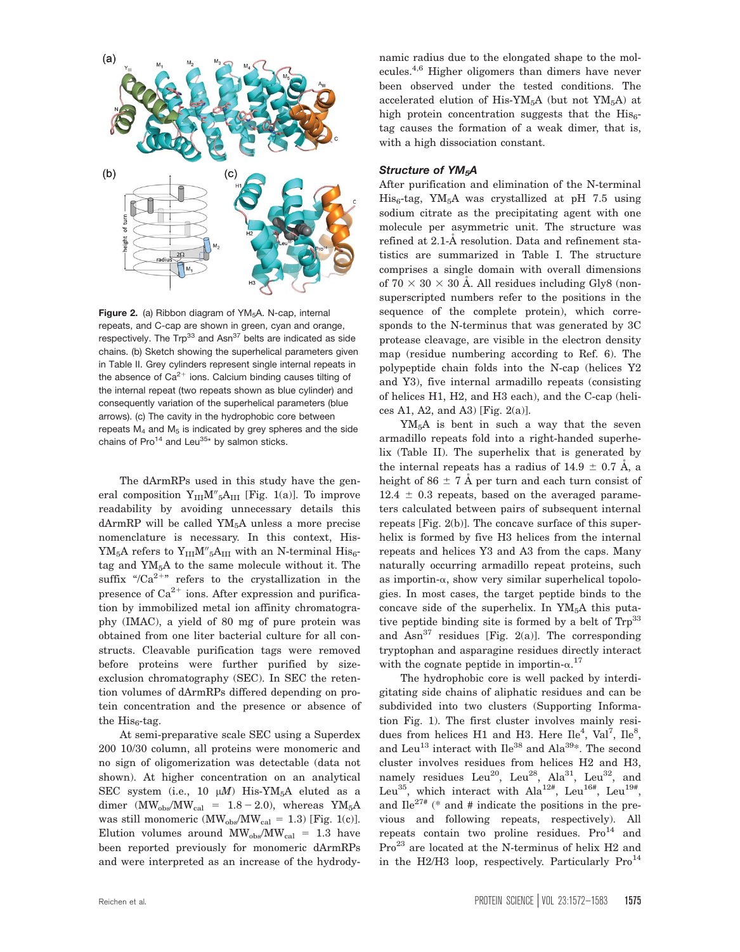

Figure 2. (a) Ribbon diagram of  $YM_5A$ . N-cap, internal repeats, and C-cap are shown in green, cyan and orange, respectively. The  $Trp^{33}$  and Asn<sup>37</sup> belts are indicated as side chains. (b) Sketch showing the superhelical parameters given in Table II. Grey cylinders represent single internal repeats in the absence of  $Ca^{2+}$  ions. Calcium binding causes tilting of the internal repeat (two repeats shown as blue cylinder) and consequently variation of the superhelical parameters (blue arrows). (c) The cavity in the hydrophobic core between repeats  $M_4$  and  $M_5$  is indicated by grey spheres and the side chains of Pro<sup>14</sup> and Leu<sup>35\*</sup> by salmon sticks.

The dArmRPs used in this study have the general composition  $Y_{III}M''_{5}A_{III}$  [Fig. 1(a)]. To improve readability by avoiding unnecessary details this dArmRP will be called  $YM<sub>5</sub>A$  unless a more precise nomenclature is necessary. In this context, His- $YM_5A$  refers to  $Y_{III}M''_5A_{III}$  with an N-terminal  $His_6$ tag and YM5A to the same molecule without it. The suffix "/ $Ca^{2+r}$  refers to the crystallization in the presence of  $Ca^{2+}$  ions. After expression and purification by immobilized metal ion affinity chromatography (IMAC), a yield of 80 mg of pure protein was obtained from one liter bacterial culture for all constructs. Cleavable purification tags were removed before proteins were further purified by sizeexclusion chromatography (SEC). In SEC the retention volumes of dArmRPs differed depending on protein concentration and the presence or absence of the  $His<sub>6</sub>$ -tag.

At semi-preparative scale SEC using a Superdex 200 10/30 column, all proteins were monomeric and no sign of oligomerization was detectable (data not shown). At higher concentration on an analytical SEC system (i.e., 10  $\mu$ M) His-YM<sub>5</sub>A eluted as a dimer  $(MW_{obs}/MW_{cal} = 1.8 - 2.0)$ , whereas YM<sub>5</sub>A was still monomeric (MW<sub>obs</sub>/MW<sub>cal</sub> = 1.3) [Fig. 1(c)]. Elution volumes around  $\text{MW}_{\text{obs}}/\text{MW}_{\text{cal}} = 1.3$  have been reported previously for monomeric dArmRPs and were interpreted as an increase of the hydrodynamic radius due to the elongated shape to the molecules.4,6 Higher oligomers than dimers have never been observed under the tested conditions. The accelerated elution of His-YM<sub>5</sub>A (but not YM<sub>5</sub>A) at high protein concentration suggests that the  $His<sub>6</sub>$ tag causes the formation of a weak dimer, that is, with a high dissociation constant.

#### Structure of YM<sub>5</sub>A

After purification and elimination of the N-terminal  $His<sub>6</sub> tag, YM<sub>5</sub>A was crystallized at pH 7.5 using$ sodium citrate as the precipitating agent with one molecule per asymmetric unit. The structure was refined at 2.1-A resolution. Data and refinement statistics are summarized in Table I. The structure comprises a single domain with overall dimensions of  $70 \times 30 \times 30$  Å. All residues including Gly8 (nonsuperscripted numbers refer to the positions in the sequence of the complete protein), which corresponds to the N-terminus that was generated by 3C protease cleavage, are visible in the electron density map (residue numbering according to Ref. 6). The polypeptide chain folds into the N-cap (helices Y2 and Y3), five internal armadillo repeats (consisting of helices H1, H2, and H3 each), and the C-cap (helices A1, A2, and A3) [Fig. 2(a)].

YM5A is bent in such a way that the seven armadillo repeats fold into a right-handed superhelix (Table II). The superhelix that is generated by the internal repeats has a radius of  $14.9 \pm 0.7$  Å, a height of 86  $\pm$  7 Å per turn and each turn consist of  $12.4 \pm 0.3$  repeats, based on the averaged parameters calculated between pairs of subsequent internal repeats [Fig. 2(b)]. The concave surface of this superhelix is formed by five H3 helices from the internal repeats and helices Y3 and A3 from the caps. Many naturally occurring armadillo repeat proteins, such as importin- $\alpha$ , show very similar superhelical topologies. In most cases, the target peptide binds to the concave side of the superhelix. In  $YM<sub>5</sub>A$  this putative peptide binding site is formed by a belt of  $\text{Trp}^{33}$ and  $Asn^{37}$  residues [Fig. 2(a)]. The corresponding tryptophan and asparagine residues directly interact with the cognate peptide in importin- $\alpha$ .<sup>17</sup>

The hydrophobic core is well packed by interdigitating side chains of aliphatic residues and can be subdivided into two clusters (Supporting Information Fig. 1). The first cluster involves mainly residues from helices H1 and H3. Here  $\text{Ile}^4$ ,  $\text{Val}^7$ ,  $\text{Ile}^8$ , and Leu<sup>13</sup> interact with  $\text{I} \text{I} e^{38}$  and  $\text{A} \text{I} a^{39*}$ . The second cluster involves residues from helices H2 and H3, namely residues Leu<sup>20</sup>, Leu<sup>28</sup>, Ala<sup>31</sup>, Leu<sup>32</sup>, and Leu<sup>35</sup>, which interact with Ala<sup>12#</sup>, Leu<sup>16#</sup>, Leu<sup>19#</sup>, and  $\text{I} \text{I} e^{27\#}$  (\* and # indicate the positions in the previous and following repeats, respectively). All repeats contain two proline residues.  $Pro<sup>14</sup>$  and Pro<sup>23</sup> are located at the N-terminus of helix H2 and in the H2/H3 loop, respectively. Particularly  $Pro<sup>14</sup>$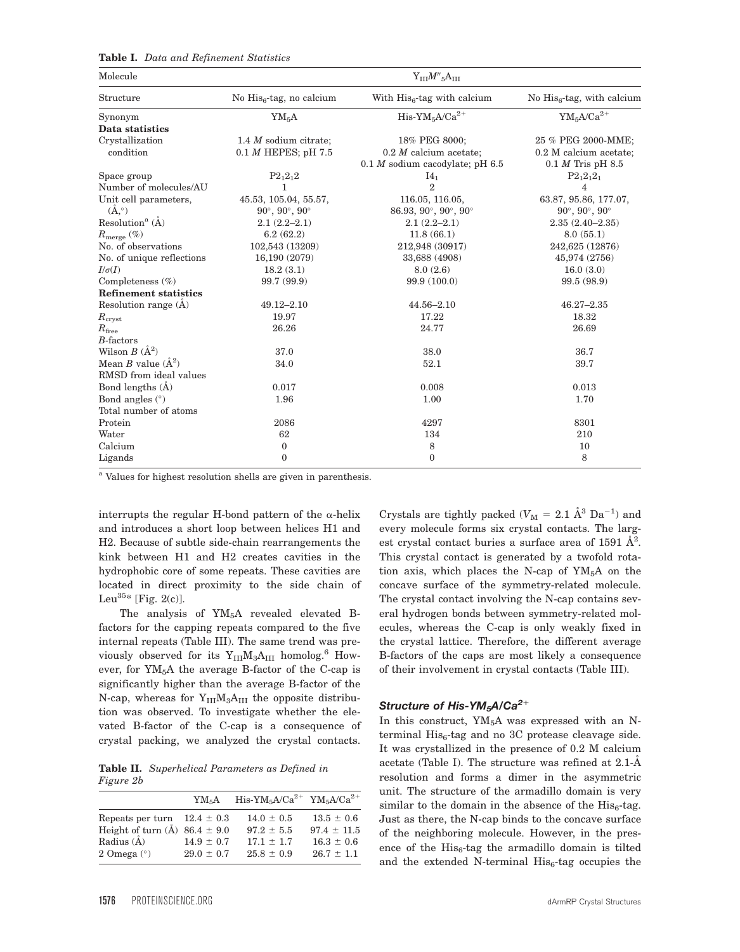| <b>Table I.</b> Data and Refinement Statistics |  |  |  |  |
|------------------------------------------------|--|--|--|--|
|------------------------------------------------|--|--|--|--|

| Molecule                            | ${\rm Y}_{\rm III} M''$ <sub>5</sub> A $_{\rm III}$ |                                                      |                                      |  |  |  |
|-------------------------------------|-----------------------------------------------------|------------------------------------------------------|--------------------------------------|--|--|--|
| Structure                           | No $His6$ -tag, no calcium                          | With $His6$ -tag with calcium                        | No $His6$ -tag, with calcium         |  |  |  |
| Synonym                             | YM <sub>5</sub> A                                   | $His-YM_5A/Ca^{2+}$                                  | $YM_5A/Ca^{2+}$                      |  |  |  |
| Data statistics                     |                                                     |                                                      |                                      |  |  |  |
| Crystallization                     | 1.4 $M$ sodium citrate;                             | 18% PEG 8000;                                        | 25 % PEG 2000-MME;                   |  |  |  |
| condition                           | $0.1 M$ HEPES; pH 7.5                               | $0.2$ <i>M</i> calcium acetate;                      | 0.2 M calcium acetate;               |  |  |  |
|                                     |                                                     | $0.1 M$ sodium cacodylate; pH 6.5                    | $0.1 M$ Tris pH $8.5$                |  |  |  |
| Space group                         | $P2_12_12$                                          | I4 <sub>1</sub>                                      | $P2_12_12_1$                         |  |  |  |
| Number of molecules/AU              | 1                                                   | $\overline{2}$                                       | $\overline{4}$                       |  |  |  |
| Unit cell parameters,               | 45.53, 105.04, 55.57,                               | 116.05, 116.05,                                      | 63.87, 95.86, 177.07,                |  |  |  |
| $(\check{A}, \circ)$                | $90^{\circ}$ , $90^{\circ}$ , $90^{\circ}$          | 86.93, 90 $^{\circ}$ , 90 $^{\circ}$ , 90 $^{\circ}$ | $90^{\circ}, 90^{\circ}, 90^{\circ}$ |  |  |  |
| Resolution <sup>a</sup> $(\AA)$     | $2.1(2.2 - 2.1)$                                    | $2.1(2.2 - 2.1)$                                     | $2.35(2.40 - 2.35)$                  |  |  |  |
| $R_{\text{merge}}\left( \% \right)$ | 6.2(62.2)                                           | 11.8(66.1)                                           | 8.0(55.1)                            |  |  |  |
| No. of observations                 | 102,543 (13209)                                     | 212,948 (30917)                                      | 242,625 (12876)                      |  |  |  |
| No. of unique reflections           | 16,190 (2079)                                       | 33,688 (4908)                                        | 45,974 (2756)                        |  |  |  |
| $I/\sigma(I)$                       | 18.2(3.1)                                           | 8.0(2.6)                                             | 16.0(3.0)                            |  |  |  |
| Completeness $(\%)$                 | 99.7 (99.9)                                         | 99.9 (100.0)                                         | 99.5 (98.9)                          |  |  |  |
| <b>Refinement statistics</b>        |                                                     |                                                      |                                      |  |  |  |
| Resolution range $(A)$              | $49.12 - 2.10$                                      | $44.56 - 2.10$                                       | $46.27 - 2.35$                       |  |  |  |
| $R_{\rm crust}$                     | 19.97                                               | 17.22                                                | 18.32                                |  |  |  |
| $R_{\rm free}$                      | 26.26                                               | 24.77                                                | 26.69                                |  |  |  |
| $B$ -factors                        |                                                     |                                                      |                                      |  |  |  |
| Wilson $B(A^2)$                     | 37.0                                                | 38.0                                                 | 36.7                                 |  |  |  |
| Mean B value $(\AA^2)$              | 34.0                                                | 52.1                                                 | 39.7                                 |  |  |  |
| RMSD from ideal values              |                                                     |                                                      |                                      |  |  |  |
| Bond lengths $(\dot{A})$            | 0.017                                               | 0.008                                                | 0.013                                |  |  |  |
| Bond angles $(°)$                   | 1.96                                                | 1.00                                                 | 1.70                                 |  |  |  |
| Total number of atoms               |                                                     |                                                      |                                      |  |  |  |
| Protein                             | 2086                                                | 4297                                                 | 8301                                 |  |  |  |
| Water                               | 62                                                  | 134                                                  | 210                                  |  |  |  |
| Calcium                             | $\boldsymbol{0}$                                    | 8                                                    | 10                                   |  |  |  |
| Ligands                             | $\mathbf{0}$                                        | $\mathbf{0}$                                         | 8                                    |  |  |  |

<sup>a</sup> Values for highest resolution shells are given in parenthesis.

interrupts the regular H-bond pattern of the  $\alpha$ -helix and introduces a short loop between helices H1 and H2. Because of subtle side-chain rearrangements the kink between H1 and H2 creates cavities in the hydrophobic core of some repeats. These cavities are located in direct proximity to the side chain of Leu<sup>35\*</sup> [Fig. 2(c)].

The analysis of YM<sub>5</sub>A revealed elevated Bfactors for the capping repeats compared to the five internal repeats (Table III). The same trend was previously observed for its  $Y_{III}M_3A_{III}$  homolog.<sup>6</sup> However, for  $YM<sub>5</sub>A$  the average B-factor of the C-cap is significantly higher than the average B-factor of the N-cap, whereas for  $Y_{III}M_3A_{III}$  the opposite distribution was observed. To investigate whether the elevated B-factor of the C-cap is a consequence of crystal packing, we analyzed the crystal contacts.

Table II. Superhelical Parameters as Defined in Figure 2b

|                                       | YM <sub>5</sub> A | $His-YM_5A/Ca^{2+}YM_5A/Ca^{2+}$ |                 |
|---------------------------------------|-------------------|----------------------------------|-----------------|
| Repeats per turn $12.4 \pm 0.3$       |                   | $14.0 \pm 0.5$                   | $13.5 \pm 0.6$  |
| Height of turn $(\AA)$ 86.4 $\pm$ 9.0 |                   | $97.2 \pm 5.5$                   | $97.4 \pm 11.5$ |
| Radius $(\AA)$                        | $14.9 \pm 0.7$    | $17.1 + 1.7$                     | $16.3 \pm 0.6$  |
| 2 Omega $(°)$                         | $29.0 \pm 0.7$    | $25.8 \pm 0.9$                   | $26.7 \pm 1.1$  |

Crystals are tightly packed ( $V_M = 2.1 \text{ Å}^3 \text{ Da}^{-1}$ ) and every molecule forms six crystal contacts. The largest crystal contact buries a surface area of 1591  $\AA^2$ . This crystal contact is generated by a twofold rotation axis, which places the N-cap of  $YM<sub>5</sub>A$  on the concave surface of the symmetry-related molecule. The crystal contact involving the N-cap contains several hydrogen bonds between symmetry-related molecules, whereas the C-cap is only weakly fixed in the crystal lattice. Therefore, the different average B-factors of the caps are most likely a consequence of their involvement in crystal contacts (Table III).

# Structure of His-YM<sub>5</sub>A/Ca<sup>2+</sup>

In this construct,  $YM_5A$  was expressed with an Nterminal  $His<sub>6</sub>$ -tag and no 3C protease cleavage side. It was crystallized in the presence of 0.2 M calcium acetate (Table I). The structure was refined at 2.1-A resolution and forms a dimer in the asymmetric unit. The structure of the armadillo domain is very similar to the domain in the absence of the  $His<sub>6</sub>$ -tag. Just as there, the N-cap binds to the concave surface of the neighboring molecule. However, in the presence of the  $His<sub>6</sub>$ -tag the armadillo domain is tilted and the extended N-terminal  $His<sub>6</sub>$ -tag occupies the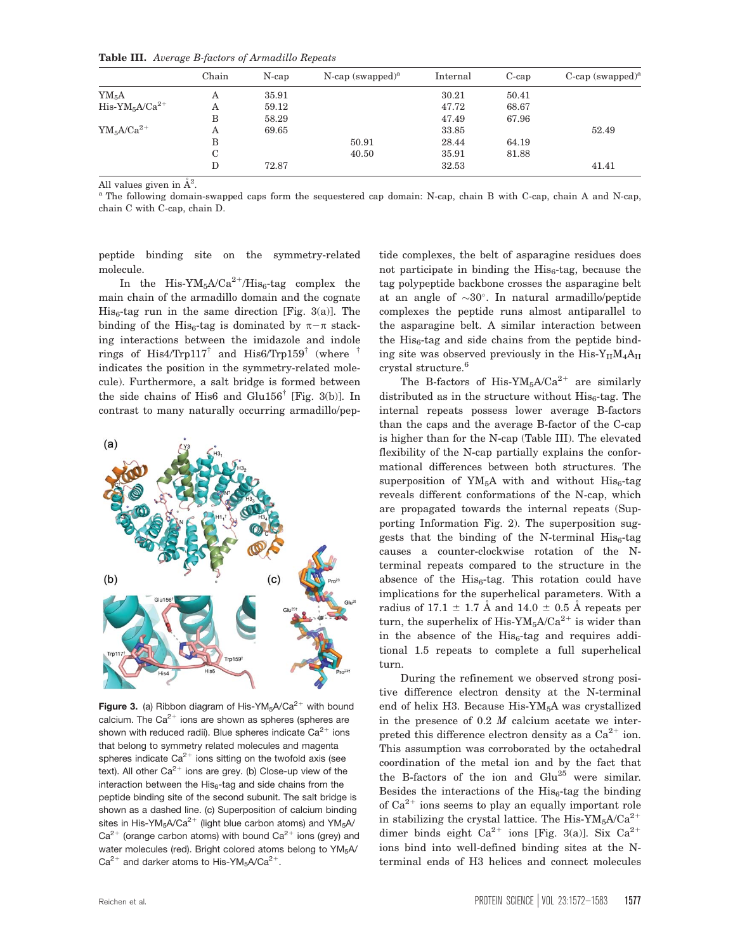| Table III. Average B-factors of Armadillo Repeats |  |  |  |  |  |
|---------------------------------------------------|--|--|--|--|--|
|---------------------------------------------------|--|--|--|--|--|

|                     | Chain       | $N$ -cap | $N$ -cap (swapped) <sup>a</sup> | Internal | $C$ -cap | C-cap $(swapped)^a$ |
|---------------------|-------------|----------|---------------------------------|----------|----------|---------------------|
| $YM_5A$             | Α           | 35.91    |                                 | 30.21    | 50.41    |                     |
| $His-YM_5A/Ca^{2+}$ | Α           | 59.12    |                                 | 47.72    | 68.67    |                     |
|                     | В           | 58.29    |                                 | 47.49    | 67.96    |                     |
| $YM_5A/Ca^{2+}$     | Α           | 69.65    |                                 | 33.85    |          | 52.49               |
|                     | В           |          | 50.91                           | 28.44    | 64.19    |                     |
|                     | $\mathbf C$ |          | 40.50                           | 35.91    | 81.88    |                     |
|                     | D           | 72.87    |                                 | 32.53    |          | 41.41               |

All values given in  $\AA^2$ .

<sup>a</sup> The following domain-swapped caps form the sequestered cap domain: N-cap, chain B with C-cap, chain A and N-cap, chain C with C-cap, chain D.

peptide binding site on the symmetry-related molecule.

In the His- $YM_5A/Ca^{2+}/His_6$ -tag complex the main chain of the armadillo domain and the cognate  $His<sub>6</sub>-tag run in the same direction [Fig. 3(a)]. The$ binding of the His<sub>6</sub>-tag is dominated by  $\pi-\pi$  stacking interactions between the imidazole and indole rings of His4/Trp117<sup> $\dagger$ </sup> and His6/Trp159<sup> $\dagger$ </sup> (where indicates the position in the symmetry-related molecule). Furthermore, a salt bridge is formed between the side chains of His6 and Glu156<sup>†</sup> [Fig. 3(b)]. In contrast to many naturally occurring armadillo/pep-



Figure 3. (a) Ribbon diagram of His-YM<sub>5</sub>A/Ca<sup>2+</sup> with bound calcium. The  $Ca^{2+}$  ions are shown as spheres (spheres are shown with reduced radii). Blue spheres indicate  $Ca^{2+}$  ions that belong to symmetry related molecules and magenta spheres indicate  $Ca^{2+}$  ions sitting on the twofold axis (see text). All other  $Ca^{2+}$  ions are grey. (b) Close-up view of the interaction between the  $His<sub>6</sub>$ -tag and side chains from the peptide binding site of the second subunit. The salt bridge is shown as a dashed line. (c) Superposition of calcium binding sites in His-YM<sub>5</sub>A/Ca<sup>2+</sup> (light blue carbon atoms) and YM<sub>5</sub>A/  $Ca^{2+}$  (orange carbon atoms) with bound  $Ca^{2+}$  ions (grey) and water molecules (red). Bright colored atoms belong to YM<sub>5</sub>A/  $Ca^{2+}$  and darker atoms to His-YM<sub>5</sub>A/Ca<sup>2+</sup>.

tide complexes, the belt of asparagine residues does not participate in binding the  $His<sub>6</sub>$ -tag, because the tag polypeptide backbone crosses the asparagine belt at an angle of  $\sim 30^\circ$ . In natural armadillo/peptide complexes the peptide runs almost antiparallel to the asparagine belt. A similar interaction between the  $His<sub>6</sub>$ -tag and side chains from the peptide binding site was observed previously in the  $His-Y_{II}M_4A_{II}$ crystal structure.<sup>6</sup>

The B-factors of His-YM<sub>5</sub>A/Ca<sup>2+</sup> are similarly distributed as in the structure without  $His<sub>6</sub>$ -tag. The internal repeats possess lower average B-factors than the caps and the average B-factor of the C-cap is higher than for the N-cap (Table III). The elevated flexibility of the N-cap partially explains the conformational differences between both structures. The superposition of  $YM_5A$  with and without  $His_6$ -tag reveals different conformations of the N-cap, which are propagated towards the internal repeats (Supporting Information Fig. 2). The superposition suggests that the binding of the N-terminal  $His<sub>6</sub>$ -tag causes a counter-clockwise rotation of the Nterminal repeats compared to the structure in the absence of the  $His<sub>6</sub>$ -tag. This rotation could have implications for the superhelical parameters. With a radius of 17.1  $\pm$  1.7 Å and 14.0  $\pm$  0.5 Å repeats per turn, the superhelix of His-YM<sub>5</sub>A/Ca<sup>2+</sup> is wider than in the absence of the  $His<sub>6</sub>-tag$  and requires additional 1.5 repeats to complete a full superhelical turn.

During the refinement we observed strong positive difference electron density at the N-terminal end of helix H3. Because His-YM<sub>5</sub>A was crystallized in the presence of  $0.2$   $M$  calcium acetate we interpreted this difference electron density as a  $Ca^{2+}$  ion. This assumption was corroborated by the octahedral coordination of the metal ion and by the fact that the B-factors of the ion and Glu<sup>25</sup> were similar. Besides the interactions of the  $His<sub>6</sub>$ -tag the binding of  $Ca^{2+}$  ions seems to play an equally important role in stabilizing the crystal lattice. The His- $YM_5A/Ca^{2+}$ dimer binds eight  $Ca^{2+}$  ions [Fig. 3(a)]. Six  $Ca^{2+}$ ions bind into well-defined binding sites at the Nterminal ends of H3 helices and connect molecules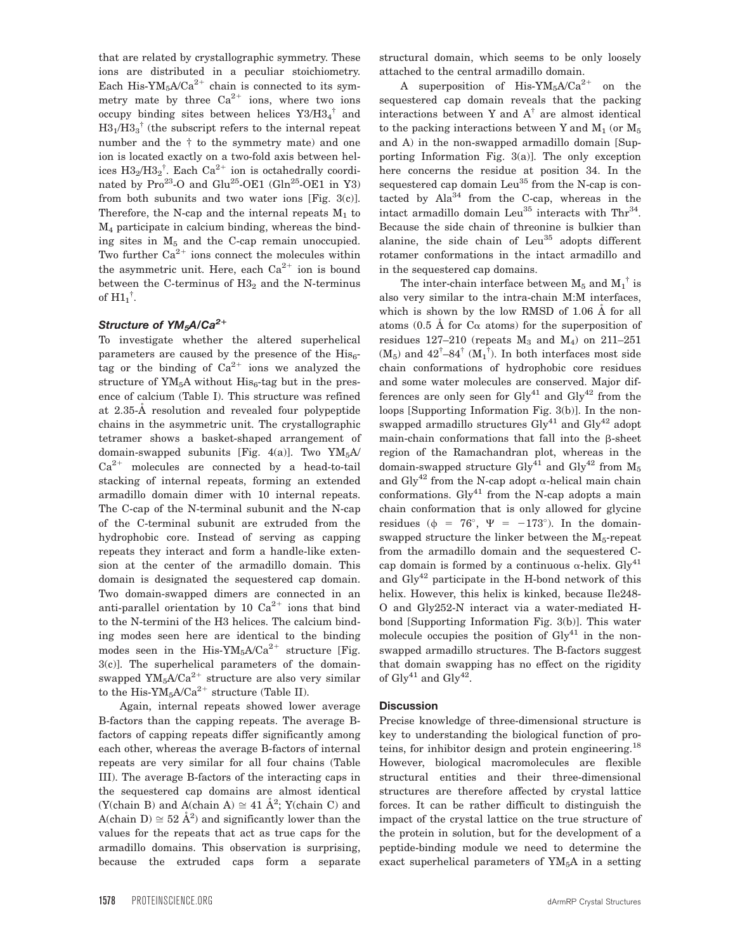that are related by crystallographic symmetry. These ions are distributed in a peculiar stoichiometry. Each His-YM<sub>5</sub>A/Ca<sup>2+</sup> chain is connected to its symmetry mate by three  $Ca^{2+}$  ions, where two ions occupy binding sites between helices  $Y3/H3_4^{\dagger}$  and  $H3<sub>1</sub>/H3<sub>3</sub><sup>†</sup>$  (the subscript refers to the internal repeat number and the † to the symmetry mate) and one ion is located exactly on a two-fold axis between helices  $H3_2/H3_2$ <sup>†</sup>. Each Ca<sup>2+</sup> ion is octahedrally coordinated by Pro<sup>23</sup>-O and Glu<sup>25</sup>-OE1 (Gln<sup>25</sup>-OE1 in Y3) from both subunits and two water ions [Fig. 3(c)]. Therefore, the N-cap and the internal repeats  $M_1$  to M4 participate in calcium binding, whereas the binding sites in  $M<sub>5</sub>$  and the C-cap remain unoccupied. Two further  $Ca^{2+}$  ions connect the molecules within the asymmetric unit. Here, each  $Ca^{2+}$  ion is bound between the C-terminus of  $H3<sub>2</sub>$  and the N-terminus of  $H1_1^{\dagger}$ .

# Structure of YM<sub>5</sub>A/Ca<sup>2+</sup>

To investigate whether the altered superhelical parameters are caused by the presence of the  $His<sub>6</sub>$ tag or the binding of  $Ca^{2+}$  ions we analyzed the structure of  $YM_5A$  without  $His_6$ -tag but in the presence of calcium (Table I). This structure was refined at 2.35-Å resolution and revealed four polypeptide chains in the asymmetric unit. The crystallographic tetramer shows a basket-shaped arrangement of domain-swapped subunits [Fig. 4(a)]. Two  $YM_5A/$  $Ca^{2+}$  molecules are connected by a head-to-tail stacking of internal repeats, forming an extended armadillo domain dimer with 10 internal repeats. The C-cap of the N-terminal subunit and the N-cap of the C-terminal subunit are extruded from the hydrophobic core. Instead of serving as capping repeats they interact and form a handle-like extension at the center of the armadillo domain. This domain is designated the sequestered cap domain. Two domain-swapped dimers are connected in an anti-parallel orientation by 10  $Ca^{2+}$  ions that bind to the N-termini of the H3 helices. The calcium binding modes seen here are identical to the binding modes seen in the His-YM<sub>5</sub>A/Ca<sup>2+</sup> structure [Fig. 3(c)]. The superhelical parameters of the domainswapped  $\text{YM}_5 \text{A} / \text{Ca}^{2+}$  structure are also very similar to the His-Y $M_5A/Ca^{2+}$  structure (Table II).

Again, internal repeats showed lower average B-factors than the capping repeats. The average Bfactors of capping repeats differ significantly among each other, whereas the average B-factors of internal repeats are very similar for all four chains (Table III). The average B-factors of the interacting caps in the sequestered cap domains are almost identical (Y(chain B) and A(chain A)  $\cong$  41  $\AA$ <sup>2</sup>; Y(chain C) and A(chain D)  $\approx 52 \text{ Å}^2$ ) and significantly lower than the values for the repeats that act as true caps for the armadillo domains. This observation is surprising, because the extruded caps form a separate structural domain, which seems to be only loosely attached to the central armadillo domain.

A superposition of His- $YM_5A/Ca^{2+}$  on the sequestered cap domain reveals that the packing interactions between Y and  $A^{\dagger}$  are almost identical to the packing interactions between Y and  $M_1$  (or  $M_5$ and A) in the non-swapped armadillo domain [Supporting Information Fig. 3(a)]. The only exception here concerns the residue at position 34. In the sequestered cap domain  $Leu<sup>35</sup>$  from the N-cap is contacted by  $Ala^{34}$  from the C-cap, whereas in the intact armadillo domain Leu<sup>35</sup> interacts with Thr<sup>34</sup>. Because the side chain of threonine is bulkier than alanine, the side chain of  $Leu<sup>35</sup>$  adopts different rotamer conformations in the intact armadillo and in the sequestered cap domains.

The inter-chain interface between  $M_5$  and  $M_1^{\dagger}$  is also very similar to the intra-chain M:M interfaces, which is shown by the low RMSD of  $1.06$  Å for all atoms (0.5 Å for  $C_{\alpha}$  atoms) for the superposition of residues 127-210 (repeats  $M_3$  and  $M_4$ ) on 211-251  $(M_5)$  and  $42^{\dagger}$ -84<sup>†</sup>  $(M_1^{\dagger})$ . In both interfaces most side chain conformations of hydrophobic core residues and some water molecules are conserved. Major differences are only seen for  $\mathrm{Gly}^{41}$  and  $\mathrm{Gly}^{42}$  from the loops [Supporting Information Fig. 3(b)]. In the nonswapped armadillo structures  $\mathrm{Gly}^{41}$  and  $\mathrm{Gly}^{42}$  adopt main-chain conformations that fall into the  $\beta$ -sheet region of the Ramachandran plot, whereas in the domain-swapped structure Gly<sup>41</sup> and Gly<sup>42</sup> from  $M_5$ and Gly<sup>42</sup> from the N-cap adopt  $\alpha$ -helical main chain conformations.  $Gly^{41}$  from the N-cap adopts a main chain conformation that is only allowed for glycine residues ( $\phi = 76^{\circ}$ ,  $\Psi = -173^{\circ}$ ). In the domainswapped structure the linker between the  $M<sub>5</sub>$ -repeat from the armadillo domain and the sequestered Ccap domain is formed by a continuous  $\alpha$ -helix. Gly<sup>41</sup> and  $\text{Gly}^{42}$  participate in the H-bond network of this helix. However, this helix is kinked, because Ile248- O and Gly252-N interact via a water-mediated Hbond [Supporting Information Fig. 3(b)]. This water molecule occupies the position of  $\mathrm{Gly}^{41}$  in the nonswapped armadillo structures. The B-factors suggest that domain swapping has no effect on the rigidity of  $\mathrm{Gly}^{41}$  and  $\mathrm{Gly}^{42}$ .

#### **Discussion**

Precise knowledge of three-dimensional structure is key to understanding the biological function of proteins, for inhibitor design and protein engineering.<sup>18</sup> However, biological macromolecules are flexible structural entities and their three-dimensional structures are therefore affected by crystal lattice forces. It can be rather difficult to distinguish the impact of the crystal lattice on the true structure of the protein in solution, but for the development of a peptide-binding module we need to determine the exact superhelical parameters of  $YM<sub>5</sub>A$  in a setting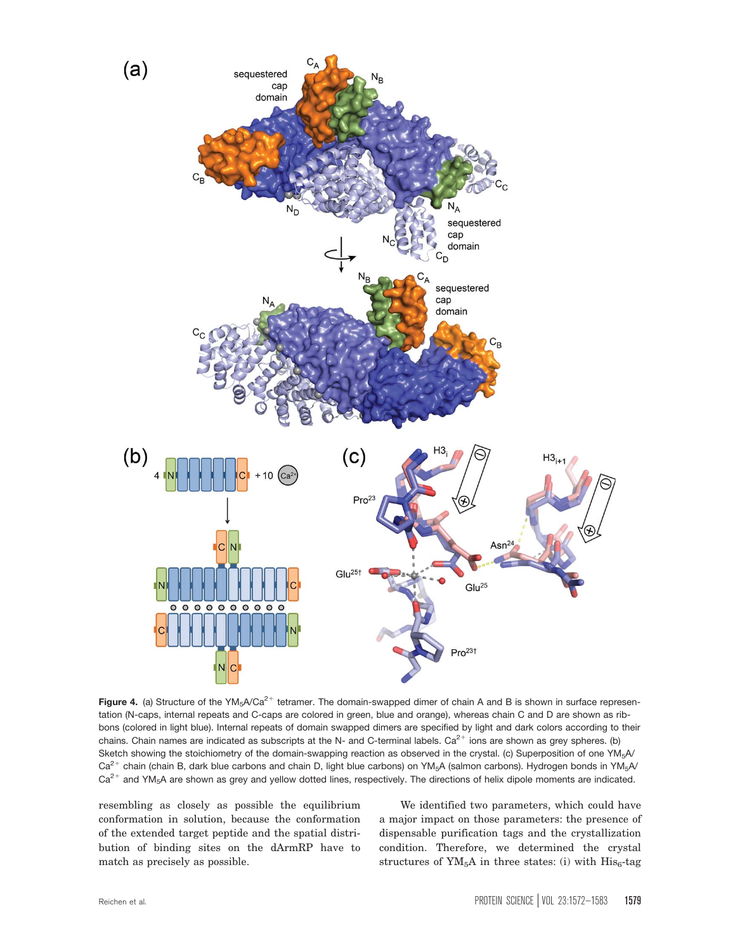

Figure 4. (a) Structure of the YM<sub>5</sub>A/Ca<sup>2+</sup> tetramer. The domain-swapped dimer of chain A and B is shown in surface representation (N-caps, internal repeats and C-caps are colored in green, blue and orange), whereas chain C and D are shown as ribbons (colored in light blue). Internal repeats of domain swapped dimers are specified by light and dark colors according to their chains. Chain names are indicated as subscripts at the N- and C-terminal labels.  $Ca^{2+}$  ions are shown as grey spheres. (b) Sketch showing the stoichiometry of the domain-swapping reaction as observed in the crystal. (c) Superposition of one YM<sub>5</sub>A/  $Ca^{2+}$  chain (chain B, dark blue carbons and chain D, light blue carbons) on YM<sub>5</sub>A (salmon carbons). Hydrogen bonds in YM<sub>5</sub>A/  $Ca^{2+}$  and YM<sub>5</sub>A are shown as grey and yellow dotted lines, respectively. The directions of helix dipole moments are indicated.

resembling as closely as possible the equilibrium conformation in solution, because the conformation of the extended target peptide and the spatial distribution of binding sites on the dArmRP have to match as precisely as possible.

We identified two parameters, which could have a major impact on those parameters: the presence of dispensable purification tags and the crystallization condition. Therefore, we determined the crystal structures of  $YM_5A$  in three states: (i) with  $His_6$ -tag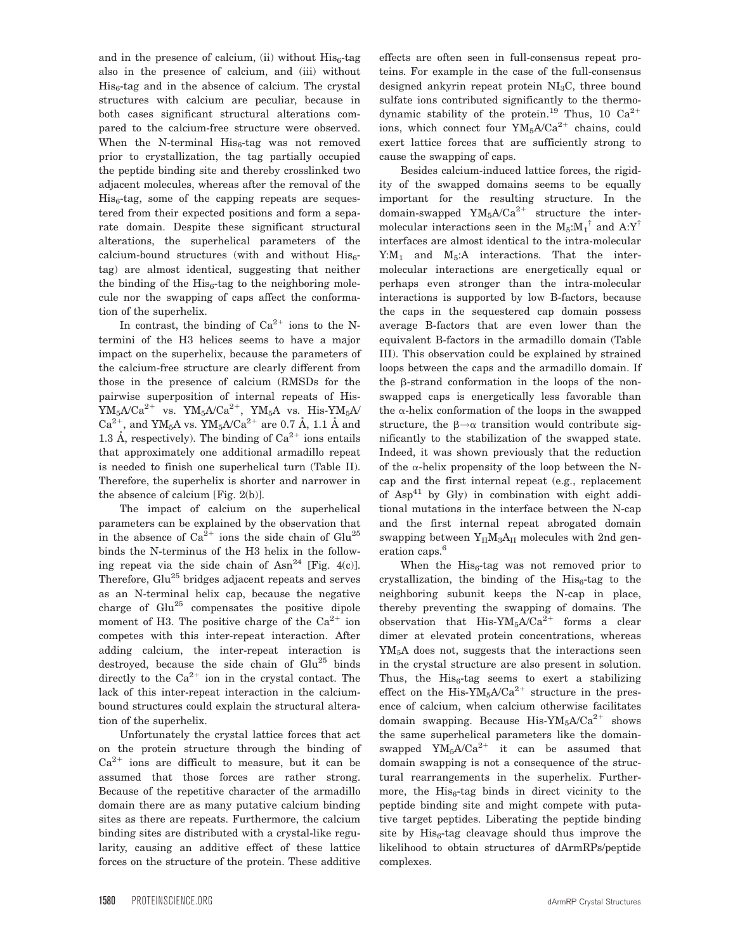and in the presence of calcium, (ii) without  $His<sub>6</sub>$ -tag also in the presence of calcium, and (iii) without  $His<sub>6</sub>$ -tag and in the absence of calcium. The crystal structures with calcium are peculiar, because in both cases significant structural alterations compared to the calcium-free structure were observed. When the N-terminal  $His_6$ -tag was not removed prior to crystallization, the tag partially occupied the peptide binding site and thereby crosslinked two adjacent molecules, whereas after the removal of the  $His<sub>6</sub>-tag, some of the capping repeats are sequences$ tered from their expected positions and form a separate domain. Despite these significant structural alterations, the superhelical parameters of the calcium-bound structures (with and without  $His<sub>6</sub>$ tag) are almost identical, suggesting that neither the binding of the  $His<sub>6</sub>$ -tag to the neighboring molecule nor the swapping of caps affect the conformation of the superhelix.

In contrast, the binding of  $Ca^{2+}$  ions to the Ntermini of the H3 helices seems to have a major impact on the superhelix, because the parameters of the calcium-free structure are clearly different from those in the presence of calcium (RMSDs for the pairwise superposition of internal repeats of His- $\rm YM_5A/Ca^{2+}$  vs.  $\rm YM_5A/Ca^{2+}$ ,  $\rm YM_5A$  vs. His- $\rm YM_5A/$  $\rm Ca^{2+},$  and YM<sub>5</sub>A vs. YM<sub>5</sub>A/Ca $^{2+}$  are 0.7 Å, 1.1 Å and 1.3 Å, respectively). The binding of  $Ca^{2+}$  ions entails that approximately one additional armadillo repeat is needed to finish one superhelical turn (Table II). Therefore, the superhelix is shorter and narrower in the absence of calcium [Fig. 2(b)].

The impact of calcium on the superhelical parameters can be explained by the observation that in the absence of  $Ca^{2+}$  ions the side chain of  $Glu^{25}$ binds the N-terminus of the H3 helix in the following repeat via the side chain of  $Asn^{24}$  [Fig. 4(c)]. Therefore, Glu<sup>25</sup> bridges adjacent repeats and serves as an N-terminal helix cap, because the negative charge of Glu<sup>25</sup> compensates the positive dipole moment of H3. The positive charge of the  $Ca^{2+}$  ion competes with this inter-repeat interaction. After adding calcium, the inter-repeat interaction is destroyed, because the side chain of  $Glu^{25}$  binds directly to the  $Ca^{2+}$  ion in the crystal contact. The lack of this inter-repeat interaction in the calciumbound structures could explain the structural alteration of the superhelix.

Unfortunately the crystal lattice forces that act on the protein structure through the binding of  $Ca^{2+}$  ions are difficult to measure, but it can be assumed that those forces are rather strong. Because of the repetitive character of the armadillo domain there are as many putative calcium binding sites as there are repeats. Furthermore, the calcium binding sites are distributed with a crystal-like regularity, causing an additive effect of these lattice forces on the structure of the protein. These additive

effects are often seen in full-consensus repeat proteins. For example in the case of the full-consensus designed ankyrin repeat protein  $NI<sub>3</sub>C$ , three bound sulfate ions contributed significantly to the thermodynamic stability of the protein.<sup>19</sup> Thus, 10  $Ca^{2+}$ ions, which connect four  $YM_5A/Ca^{2+}$  chains, could exert lattice forces that are sufficiently strong to cause the swapping of caps.

Besides calcium-induced lattice forces, the rigidity of the swapped domains seems to be equally important for the resulting structure. In the domain-swapped  $YM_5A/Ca^{2+}$  structure the intermolecular interactions seen in the  $M_5$ : $M_1$ <sup>†</sup> and A:Y<sup>†</sup> interfaces are almost identical to the intra-molecular Y: $M_1$  and  $M_5$ :A interactions. That the intermolecular interactions are energetically equal or perhaps even stronger than the intra-molecular interactions is supported by low B-factors, because the caps in the sequestered cap domain possess average B-factors that are even lower than the equivalent B-factors in the armadillo domain (Table III). This observation could be explained by strained loops between the caps and the armadillo domain. If the  $\beta$ -strand conformation in the loops of the nonswapped caps is energetically less favorable than the  $\alpha$ -helix conformation of the loops in the swapped structure, the  $\beta \rightarrow \alpha$  transition would contribute significantly to the stabilization of the swapped state. Indeed, it was shown previously that the reduction of the  $\alpha$ -helix propensity of the loop between the Ncap and the first internal repeat (e.g., replacement of  $Asp^{41}$  by Gly) in combination with eight additional mutations in the interface between the N-cap and the first internal repeat abrogated domain swapping between  $Y_{II}M_3A_{II}$  molecules with 2nd generation caps.<sup>6</sup>

When the  $His<sub>6</sub>$ -tag was not removed prior to crystallization, the binding of the  $His<sub>6</sub>$ -tag to the neighboring subunit keeps the N-cap in place, thereby preventing the swapping of domains. The observation that His-YM<sub>5</sub>A/Ca<sup>2+</sup> forms a clear dimer at elevated protein concentrations, whereas YM<sub>5</sub>A does not, suggests that the interactions seen in the crystal structure are also present in solution. Thus, the  $His<sub>6</sub>$ -tag seems to exert a stabilizing effect on the His-YM<sub>5</sub>A/Ca<sup>2+</sup> structure in the presence of calcium, when calcium otherwise facilitates domain swapping. Because His- $YM_5A/Ca^{2+}$  shows the same superhelical parameters like the domainswapped  $YM_5A/Ca^{2+}$  it can be assumed that domain swapping is not a consequence of the structural rearrangements in the superhelix. Furthermore, the  $His<sub>6</sub>$ -tag binds in direct vicinity to the peptide binding site and might compete with putative target peptides. Liberating the peptide binding site by  $His<sub>6</sub>$ -tag cleavage should thus improve the likelihood to obtain structures of dArmRPs/peptide complexes.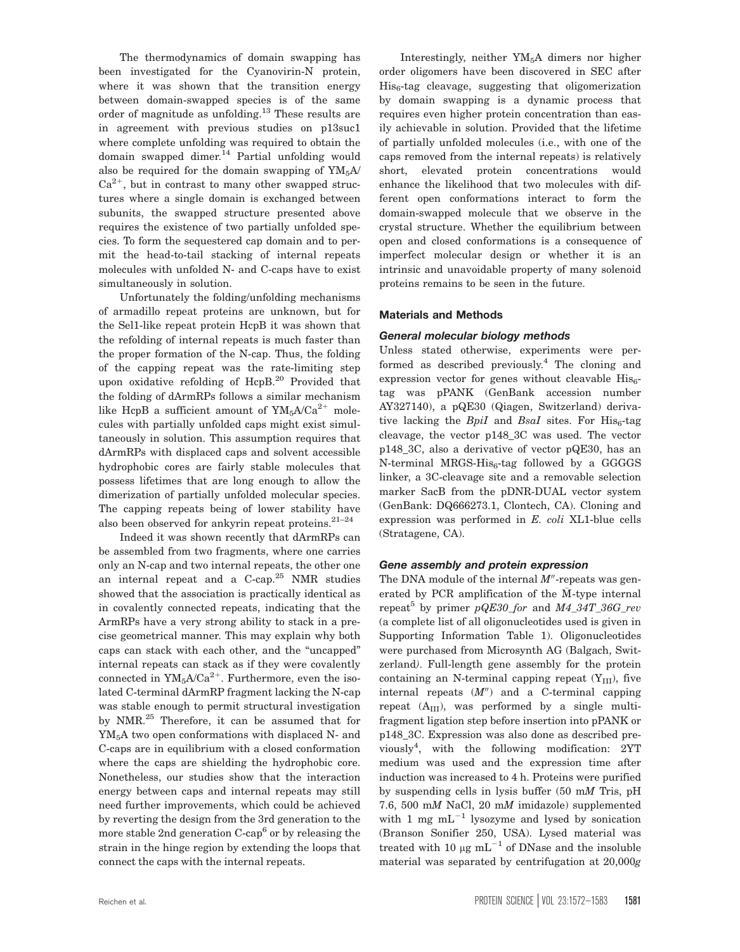The thermodynamics of domain swapping has been investigated for the Cyanovirin-N protein, where it was shown that the transition energy between domain-swapped species is of the same order of magnitude as unfolding.<sup>13</sup> These results are in agreement with previous studies on p13suc1 where complete unfolding was required to obtain the domain swapped dimer.<sup>14</sup> Partial unfolding would also be required for the domain swapping of  $YM<sub>5</sub>A$  $Ca^{2+}$ , but in contrast to many other swapped structures where a single domain is exchanged between subunits, the swapped structure presented above requires the existence of two partially unfolded species. To form the sequestered cap domain and to permit the head-to-tail stacking of internal repeats molecules with unfolded N- and C-caps have to exist simultaneously in solution.

Unfortunately the folding/unfolding mechanisms of armadillo repeat proteins are unknown, but for the Sel1-like repeat protein HcpB it was shown that the refolding of internal repeats is much faster than the proper formation of the N-cap. Thus, the folding of the capping repeat was the rate-limiting step upon oxidative refolding of HcpB.<sup>20</sup> Provided that the folding of dArmRPs follows a similar mechanism like HcpB a sufficient amount of  $YM_5A/Ca^{2+}$  molecules with partially unfolded caps might exist simultaneously in solution. This assumption requires that dArmRPs with displaced caps and solvent accessible hydrophobic cores are fairly stable molecules that possess lifetimes that are long enough to allow the dimerization of partially unfolded molecular species. The capping repeats being of lower stability have also been observed for ankyrin repeat proteins. $21-24$ 

Indeed it was shown recently that dArmRPs can be assembled from two fragments, where one carries only an N-cap and two internal repeats, the other one an internal repeat and a C-cap.<sup>25</sup> NMR studies showed that the association is practically identical as in covalently connected repeats, indicating that the ArmRPs have a very strong ability to stack in a precise geometrical manner. This may explain why both caps can stack with each other, and the "uncapped" internal repeats can stack as if they were covalently connected in  $YM_5A/Ca^{2+}$ . Furthermore, even the isolated C-terminal dArmRP fragment lacking the N-cap was stable enough to permit structural investigation by NMR.<sup>25</sup> Therefore, it can be assumed that for YM5A two open conformations with displaced N- and C-caps are in equilibrium with a closed conformation where the caps are shielding the hydrophobic core. Nonetheless, our studies show that the interaction energy between caps and internal repeats may still need further improvements, which could be achieved by reverting the design from the 3rd generation to the more stable 2nd generation  $C$ -cap<sup>6</sup> or by releasing the strain in the hinge region by extending the loops that connect the caps with the internal repeats.

Interestingly, neither YM5A dimers nor higher order oligomers have been discovered in SEC after His<sub>6</sub>-tag cleavage, suggesting that oligomerization by domain swapping is a dynamic process that requires even higher protein concentration than easily achievable in solution. Provided that the lifetime of partially unfolded molecules (i.e., with one of the caps removed from the internal repeats) is relatively short, elevated protein concentrations would enhance the likelihood that two molecules with different open conformations interact to form the domain-swapped molecule that we observe in the crystal structure. Whether the equilibrium between open and closed conformations is a consequence of imperfect molecular design or whether it is an intrinsic and unavoidable property of many solenoid proteins remains to be seen in the future.

#### Materials and Methods

#### General molecular biology methods

Unless stated otherwise, experiments were performed as described previously.<sup>4</sup> The cloning and expression vector for genes without cleavable  $His<sub>6</sub>$ tag was pPANK (GenBank accession number AY327140), a pQE30 (Qiagen, Switzerland) derivative lacking the  $BpiI$  and  $BsaI$  sites. For  $His<sub>6</sub>$ -tag cleavage, the vector p148\_3C was used. The vector p148\_3C, also a derivative of vector pQE30, has an N-terminal MRGS- $His<sub>6</sub>$ -tag followed by a GGGGS linker, a 3C-cleavage site and a removable selection marker SacB from the pDNR-DUAL vector system (GenBank: DQ666273.1, Clontech, CA). Cloning and expression was performed in E. coli XL1-blue cells (Stratagene, CA).

#### Gene assembly and protein expression

The DNA module of the internal  $M''$ -repeats was generated by PCR amplification of the  $\bar{M}$ -type internal repeat<sup>5</sup> by primer  $pQE30$  for and  $M4$  34T 36G rev (a complete list of all oligonucleotides used is given in Supporting Information Table 1). Oligonucleotides were purchased from Microsynth AG (Balgach, Switzerland). Full-length gene assembly for the protein containing an N-terminal capping repeat  $(Y_{III})$ , five internal repeats  $(M'')$  and a C-terminal capping repeat  $(A_{III})$ , was performed by a single multifragment ligation step before insertion into pPANK or p148\_3C. Expression was also done as described previously<sup>4</sup> , with the following modification: 2YT medium was used and the expression time after induction was increased to 4 h. Proteins were purified by suspending cells in lysis buffer (50 mM Tris, pH 7.6, 500 mM NaCl, 20 mM imidazole) supplemented with 1 mg  $mL^{-1}$  lysozyme and lysed by sonication (Branson Sonifier 250, USA). Lysed material was treated with 10  $\mu$ g mL<sup>-1</sup> of DNase and the insoluble material was separated by centrifugation at 20,000g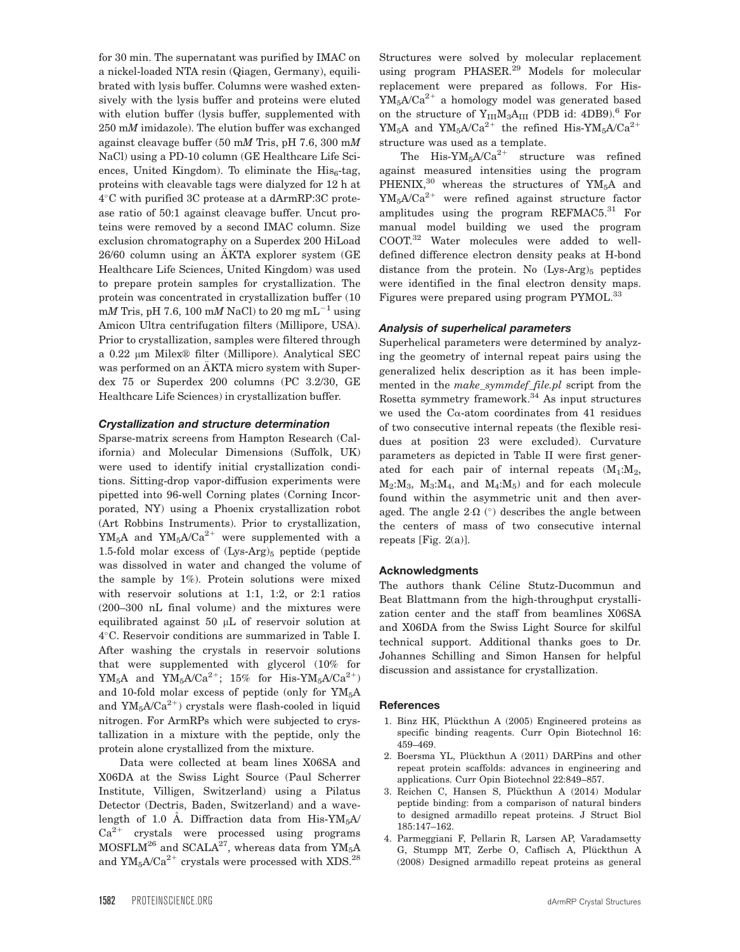for 30 min. The supernatant was purified by IMAC on a nickel-loaded NTA resin (Qiagen, Germany), equilibrated with lysis buffer. Columns were washed extensively with the lysis buffer and proteins were eluted with elution buffer (lysis buffer, supplemented with 250 mM imidazole). The elution buffer was exchanged against cleavage buffer (50 mM Tris, pH 7.6, 300 mM NaCl) using a PD-10 column (GE Healthcare Life Sciences, United Kingdom). To eliminate the  $His<sub>6</sub>$ -tag, proteins with cleavable tags were dialyzed for 12 h at  $4^{\circ}$ C with purified 3C protease at a dArmRP:3C protease ratio of 50:1 against cleavage buffer. Uncut proteins were removed by a second IMAC column. Size exclusion chromatography on a Superdex 200 HiLoad  $26/60$  column using an AKTA explorer system  $(GE)$ Healthcare Life Sciences, United Kingdom) was used to prepare protein samples for crystallization. The protein was concentrated in crystallization buffer (10 mM Tris, pH 7.6, 100 mM NaCl) to 20 mg mL<sup>-1</sup> using Amicon Ultra centrifugation filters (Millipore, USA). Prior to crystallization, samples were filtered through a  $0.22$  µm Milex® filter (Millipore). Analytical SEC was performed on an AKTA micro system with Superdex 75 or Superdex 200 columns (PC 3.2/30, GE Healthcare Life Sciences) in crystallization buffer.

#### Crystallization and structure determination

Sparse-matrix screens from Hampton Research (California) and Molecular Dimensions (Suffolk, UK) were used to identify initial crystallization conditions. Sitting-drop vapor-diffusion experiments were pipetted into 96-well Corning plates (Corning Incorporated, NY) using a Phoenix crystallization robot (Art Robbins Instruments). Prior to crystallization,  $YM_5A$  and  $YM_5A/Ca^{2+}$  were supplemented with a 1.5-fold molar excess of  $(Lys-Arg)$ <sub>5</sub> peptide (peptide was dissolved in water and changed the volume of the sample by 1%). Protein solutions were mixed with reservoir solutions at 1:1, 1:2, or 2:1 ratios (200–300 nL final volume) and the mixtures were equilibrated against 50  $\mu$ L of reservoir solution at 4C. Reservoir conditions are summarized in Table I. After washing the crystals in reservoir solutions that were supplemented with glycerol (10% for  $\rm YM_5A$  and  $\rm YM_5A\rm C a^{2+};$   $\rm\ 15\%$  for  $\rm\, Hi s\text{-}YM_5A\rm C a^{2+})$ and 10-fold molar excess of peptide (only for YM<sub>5</sub>A and  $YM_5A/Ca^{2+}$ ) crystals were flash-cooled in liquid nitrogen. For ArmRPs which were subjected to crystallization in a mixture with the peptide, only the protein alone crystallized from the mixture.

Data were collected at beam lines X06SA and X06DA at the Swiss Light Source (Paul Scherrer Institute, Villigen, Switzerland) using a Pilatus Detector (Dectris, Baden, Switzerland) and a wavelength of 1.0 A. Diffraction data from His-YM<sub>5</sub>A/  $Ca<sup>2+</sup>$  crystals were processed using programs  $MOSFLM<sup>26</sup>$  and  $SCALA<sup>27</sup>$ , whereas data from  $YM_5A$ and  $YM_5A/Ca^{2+}$  crystals were processed with XDS.<sup>28</sup>

Structures were solved by molecular replacement using program PHASER.<sup>29</sup> Models for molecular replacement were prepared as follows. For His- $YM_5A/Ca^{2+}$  a homology model was generated based on the structure of  $Y_{III}M_3A_{III}$  (PDB id: 4DB9).<sup>6</sup> For  $YM_5A$  and  $YM_5A/Ca^{2+}$  the refined His-YM<sub>5</sub>A/Ca<sup>2+</sup> structure was used as a template.

The His- $YM_5A/Ca^{2+}$  structure was refined against measured intensities using the program PHENIX, $30$  whereas the structures of YM<sub>5</sub>A and  $YM_5A/Ca^{2+}$  were refined against structure factor amplitudes using the program REFMAC5. $31$  For manual model building we used the program COOT.32 Water molecules were added to welldefined difference electron density peaks at H-bond distance from the protein. No  $(Lys-Arg)_{5}$  peptides were identified in the final electron density maps. Figures were prepared using program PYMOL.<sup>33</sup>

#### Analysis of superhelical parameters

Superhelical parameters were determined by analyzing the geometry of internal repeat pairs using the generalized helix description as it has been implemented in the make symmdef file.pl script from the Rosetta symmetry framework.<sup>34</sup> As input structures we used the C $\alpha$ -atom coordinates from 41 residues of two consecutive internal repeats (the flexible residues at position 23 were excluded). Curvature parameters as depicted in Table II were first generated for each pair of internal repeats  $(M_1:M_2)$ ,  $M_2:M_3$ ,  $M_3:M_4$ , and  $M_4:M_5$ ) and for each molecule found within the asymmetric unit and then averaged. The angle  $2\Omega$  ( $\circ$ ) describes the angle between the centers of mass of two consecutive internal repeats [Fig. 2(a)].

#### Acknowledgments

The authors thank Céline Stutz-Ducommun and Beat Blattmann from the high-throughput crystallization center and the staff from beamlines X06SA and X06DA from the Swiss Light Source for skilful technical support. Additional thanks goes to Dr. Johannes Schilling and Simon Hansen for helpful discussion and assistance for crystallization.

#### **References**

- 1. Binz HK, Plückthun A (2005) Engineered proteins as specific binding reagents. Curr Opin Biotechnol 16: 459–469.
- 2. Boersma YL, Plückthun A (2011) DARPins and other repeat protein scaffolds: advances in engineering and applications. Curr Opin Biotechnol 22:849–857.
- 3. Reichen C, Hansen S, Plückthun A (2014) Modular peptide binding: from a comparison of natural binders to designed armadillo repeat proteins. J Struct Biol 185:147–162.
- 4. Parmeggiani F, Pellarin R, Larsen AP, Varadamsetty G, Stumpp MT, Zerbe O, Caflisch A, Plückthun A (2008) Designed armadillo repeat proteins as general